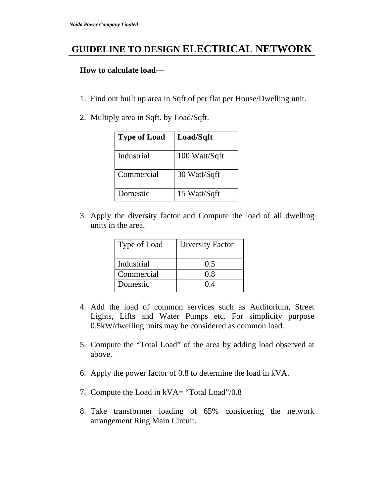## **GUIDELINE TO DESIGN ELECTRICAL NETWORK**

## **How to calculate load—**

- 1. Find out built up area in Sqft.of per flat per House/Dwelling unit.
- 2. Multiply area in Sqft. by Load/Sqft.

| <b>Type of Load</b> | Load/Sqft     |
|---------------------|---------------|
| Industrial          | 100 Watt/Sqft |
| Commercial          | 30 Watt/Sqft  |
| Domestic            | 15 Watt/Sqft  |

3. Apply the diversity factor and Compute the load of all dwelling units in the area.

| Type of Load | <b>Diversity Factor</b> |
|--------------|-------------------------|
| Industrial   | 0.5                     |
| Commercial   | 0.8                     |
| Domestic     | ( ) 4                   |

- 4. Add the load of common services such as Auditorium, Street Lights, Lifts and Water Pumps etc. For simplicity purpose 0.5kW/dwelling units may be considered as common load.
- 5. Compute the "Total Load" of the area by adding load observed at above.
- 6. Apply the power factor of 0.8 to determine the load in kVA.
- 7. Compute the Load in kVA= "Total Load"/0.8
- 8. Take transformer loading of 65% considering the network arrangement Ring Main Circuit.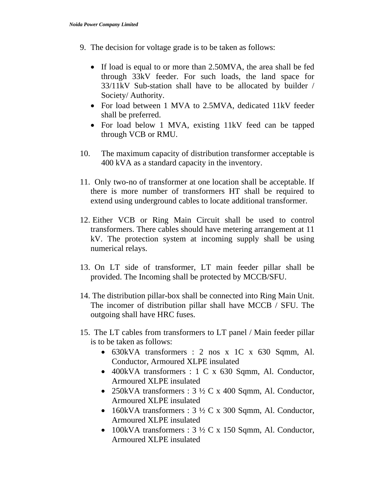- 9. The decision for voltage grade is to be taken as follows:
	- If load is equal to or more than 2.50 MVA, the area shall be fed through 33kV feeder. For such loads, the land space for 33/11kV Sub-station shall have to be allocated by builder / Society/ Authority.
	- For load between 1 MVA to 2.5MVA, dedicated 11kV feeder shall be preferred.
	- For load below 1 MVA, existing 11kV feed can be tapped through VCB or RMU.
- 10. The maximum capacity of distribution transformer acceptable is 400 kVA as a standard capacity in the inventory.
- 11. Only two-no of transformer at one location shall be acceptable. If there is more number of transformers HT shall be required to extend using underground cables to locate additional transformer.
- 12. Either VCB or Ring Main Circuit shall be used to control transformers. There cables should have metering arrangement at 11 kV. The protection system at incoming supply shall be using numerical relays.
- 13. On LT side of transformer, LT main feeder pillar shall be provided. The Incoming shall be protected by MCCB/SFU.
- 14. The distribution pillar-box shall be connected into Ring Main Unit. The incomer of distribution pillar shall have MCCB / SFU. The outgoing shall have HRC fuses.
- 15. The LT cables from transformers to LT panel / Main feeder pillar is to be taken as follows:
	- 630kVA transformers : 2 nos x 1C x 630 Sqmm, Al. Conductor, Armoured XLPE insulated
	- 400kVA transformers : 1 C x 630 Sqmm, Al. Conductor, Armoured XLPE insulated
	- 250kVA transformers :  $3\frac{1}{2}C$  x 400 Sqmm, Al. Conductor, Armoured XLPE insulated
	- 160kVA transformers :  $3\frac{1}{2}C \times 300$  Sqmm, Al. Conductor, Armoured XLPE insulated
	- 100kVA transformers :  $3\frac{1}{2}C$  x 150 Sqmm, Al. Conductor, Armoured XLPE insulated